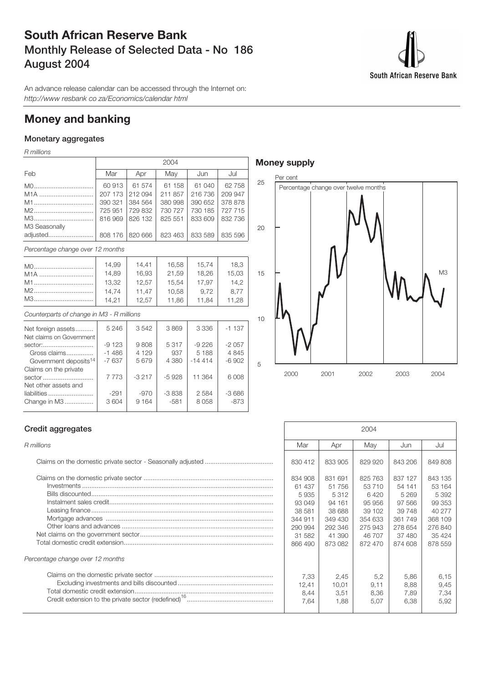## **South African Reserve Bank Monthly Release of Selected Data - No 186 August 2004**

South African Reserve Bank

An advance release calendar can be accessed through the Internet on: http://www resbank co za/Economics/calendar html

## **Money and banking**

## **Monetary aggregates**

R millions

|                                           |         |         | 2004    |          |         |
|-------------------------------------------|---------|---------|---------|----------|---------|
| Feb                                       | Mar     | Apr     | May     | Jun      | Jul     |
|                                           | 60913   | 61 574  | 61 158  | 61 040   | 62 758  |
| $M1A$                                     | 207 173 | 212 094 | 211 857 | 216 736  | 209 947 |
| M1                                        | 390 321 | 384 564 | 380 998 | 390 652  | 378 878 |
| M2                                        | 725 951 | 729 832 | 730 727 | 730 185  | 727 715 |
| M3                                        | 816969  | 826 132 | 825 551 | 833 609  | 832 736 |
| M3 Seasonally                             |         |         |         |          |         |
| adjusted                                  | 808 176 | 820 666 | 823 463 | 833 589  | 835 596 |
| Percentage change over 12 months          |         |         |         |          |         |
| M0                                        | 14,99   | 14,41   | 16,58   | 15,74    | 18,3    |
| M <sub>1</sub> A                          | 14,89   | 16,93   | 21,59   | 18,26    | 15,03   |
| M1                                        | 13,32   | 12,57   | 15,54   | 17,97    | 14,2    |
| M2                                        | 14.74   | 11.47   | 10,58   | 9.72     | 8.77    |
| M3                                        | 14,21   | 12,57   | 11,86   | 11,84    | 11,28   |
|                                           |         |         |         |          |         |
| Counterparts of change in M3 - R millions |         |         |         |          |         |
| Net foreign assets                        | 5 2 4 6 | 3542    | 3869    | 3 3 3 6  | $-1137$ |
| Net claims on Government                  |         |         |         |          |         |
| sector:                                   | $-9123$ | 9808    | 5317    | $-9226$  | $-2057$ |
| Gross claims                              | $-1486$ | 4 1 2 9 | 937     | 5 1 8 8  | 4845    |
| Government deposits <sup>14</sup>         | $-7637$ | 5679    | 4 3 8 0 | $-14414$ | $-6902$ |
| Claims on the private                     |         |         |         |          |         |
| sector                                    | 7773    | $-3217$ | $-5928$ | 11 364   | 6 0 08  |
| Net other assets and                      |         |         |         |          |         |
| liabilities                               | $-291$  | $-970$  | $-3838$ | 2584     | $-3686$ |
| Change in M3                              | 3604    | 9 1 6 4 | $-581$  | 8058     | $-873$  |

## **Money supply**



### **Credit aggregates**

Treasury amounting to R17,5 billion.

Change in M3..................| 3604 | 9164 | -581

| Percentage change over 12 months |
|----------------------------------|
|                                  |

| <b>Credit aggregates</b>         | 2004                                                                                     |                                                                                         |                                                                                         |                                                                                            |                                                                                              |
|----------------------------------|------------------------------------------------------------------------------------------|-----------------------------------------------------------------------------------------|-----------------------------------------------------------------------------------------|--------------------------------------------------------------------------------------------|----------------------------------------------------------------------------------------------|
| R millions                       | Mar                                                                                      | Apr                                                                                     | Mav                                                                                     | Jun                                                                                        | Jul                                                                                          |
|                                  | 830 412                                                                                  | 833 905                                                                                 | 829 920                                                                                 | 843 206                                                                                    | 849808                                                                                       |
|                                  | 834 908<br>61 437<br>5935<br>93 049<br>38 581<br>344 911<br>290 994<br>31 582<br>866 490 | 831 691<br>51 756<br>5312<br>94 161<br>38 688<br>349 430<br>292 346<br>41 390<br>873082 | 825 763<br>53 710<br>6420<br>95956<br>39 102<br>354 633<br>275 943<br>46 707<br>872 470 | 837 127<br>54 141<br>5 2 6 9<br>97 566<br>39 748<br>361749<br>278 654<br>37 480<br>874 608 | 843 135<br>53 164<br>5 3 9 2<br>99 353<br>40 277<br>368 109<br>276 840<br>35 4 24<br>878 559 |
| Percentage change over 12 months |                                                                                          |                                                                                         |                                                                                         |                                                                                            |                                                                                              |
|                                  | 7,33<br>12,41<br>8,44<br>7.64                                                            | 2.45<br>10.01<br>3,51<br>1.88                                                           | 5,2<br>9.11<br>8,36<br>5,07                                                             | 5.86<br>8.88<br>7,89<br>6,38                                                               | 6,15<br>9,45<br>7,34<br>5,92                                                                 |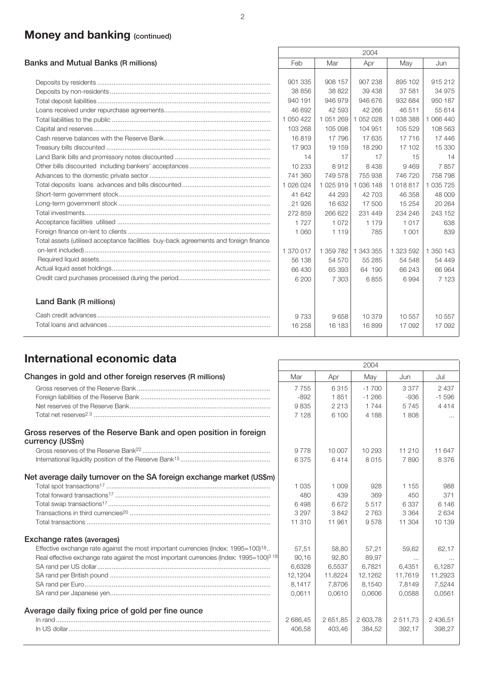# **Money and banking (continued)**

|                                                                                      | 2004      |           |             |           |               |  |  |
|--------------------------------------------------------------------------------------|-----------|-----------|-------------|-----------|---------------|--|--|
| Banks and Mutual Banks (R millions)                                                  | Feb       | Mar       | Apr         | May       | Jun           |  |  |
|                                                                                      |           |           |             |           |               |  |  |
|                                                                                      | 901 335   | 908 157   | 907 238     | 895 102   | 915 212       |  |  |
|                                                                                      | 38 856    | 38 822    | 39 438      | 37 581    | 34 975        |  |  |
|                                                                                      | 940 191   | 946 979   | 946 676     | 932 684   | 950 187       |  |  |
|                                                                                      | 46 692    | 42 593    | 42 266      | 46 511    | 55 614        |  |  |
|                                                                                      | 1 050 422 | 1051269   | 1 052 028   | 1 038 388 | 1 066 440     |  |  |
|                                                                                      | 103 268   | 105 098   | 104 951     | 105 529   | 108 563       |  |  |
|                                                                                      | 16819     | 17796     | 17 635      | 17 716    | 17446         |  |  |
|                                                                                      | 17903     | 19 159    | 18 290      | 17 102    | 15 330        |  |  |
|                                                                                      | 14        | 17        | 17          | 15        | 14            |  |  |
|                                                                                      | 10 233    | 8912      | 8 4 3 8     | 9469      | 7857          |  |  |
|                                                                                      | 741 360   | 749 578   | 755 938     | 746 720   | 758 798       |  |  |
|                                                                                      | 1 026 024 | 1025919   | 1 0 36 1 48 | 1018817   | 1 0 3 5 7 2 5 |  |  |
|                                                                                      | 41 642    | 44 293    | 42 703      | 46 358    | 48 009        |  |  |
|                                                                                      | 21926     | 16 632    | 17 500      | 15 254    | 20 264        |  |  |
|                                                                                      | 272 859   | 266 622   | 231 449     | 234 246   | 243 152       |  |  |
|                                                                                      | 1727      | 1072      | 1 1 7 9     | 1 0 1 7   | 638           |  |  |
|                                                                                      | 1 0 6 0   | 1 1 1 9   | 785         | 1 0 0 1   | 839           |  |  |
| Total assets (utilised acceptance facilities buy-back agreements and foreign finance |           |           |             |           |               |  |  |
|                                                                                      | 1 370 017 | 1 359 782 | 1 343 355   | 1 323 592 | 1 350 143     |  |  |
|                                                                                      | 56 138    | 54 570    | 55 285      | 54 548    | 54 449        |  |  |
|                                                                                      | 66 430    | 65 393    | 64 190      | 66 243    | 66 964        |  |  |
|                                                                                      | 6 200     | 7 3 0 3   | 6855        | 6994      | 7 1 2 3       |  |  |
| Land Bank (R millions)                                                               |           |           |             |           |               |  |  |
|                                                                                      | 9 7 3 3   | 9658      | 10 379      | 10557     | 10557         |  |  |
|                                                                                      | 16 258    | 16 183    | 16899       | 17 092    | 17 092        |  |  |

# **International economic data** 2004

|                                                                                                      |          |         | ZUU4     |          |            |
|------------------------------------------------------------------------------------------------------|----------|---------|----------|----------|------------|
| Changes in gold and other foreign reserves (R millions)                                              | Mar      | Apr     | May      | Jun      | Jul        |
|                                                                                                      | 7755     | 6315    | $-1700$  | 3 3 7 7  | 2 4 3 7    |
|                                                                                                      | $-892$   | 1851    | $-1266$  | $-936$   | $-1596$    |
|                                                                                                      | 9835     | 2 2 1 3 | 1 744    | 5745     | 4414       |
|                                                                                                      | 7 1 2 8  | 6 100   | 4 188    | 1808     | $\cdots$   |
| Gross reserves of the Reserve Bank and open position in foreign<br>currency (US\$m)                  |          |         |          |          |            |
|                                                                                                      | 9778     | 10 007  | 10 293   | 11 210   | 11 647     |
|                                                                                                      | 6375     | 6414    | 8015     | 7890     | 8376       |
| Net average daily turnover on the SA foreign exchange market (US\$m)                                 |          |         |          |          |            |
|                                                                                                      | 1 0 3 5  | 1 0 0 9 | 928      | 1 1 5 5  | 988        |
|                                                                                                      | 480      | 439     | 369      | 450      | 371        |
|                                                                                                      | 6498     | 6672    | 5517     | 6337     | 6 1 4 6    |
|                                                                                                      | 3 2 9 7  | 3842    | 2 7 6 3  | 3 3 6 4  | 2634       |
|                                                                                                      | 11 310   | 11 961  | 9578     | 11 304   | 10 139     |
| Exchange rates (averages)                                                                            |          |         |          |          |            |
| Effective exchange rate against the most important currencies (Index: 1995=100) <sup>18</sup>        | 57,51    | 58,80   | 57,21    | 59,62    | 62,17      |
| Real effective exchange rate against the most important currencies (Index: 1995=100) <sup>3</sup> 18 | 90,16    | 92,80   | 89,97    | $\cdots$ | $\cdots$   |
|                                                                                                      | 6,6328   | 6,5537  | 6,7821   | 6,4351   | 6,1287     |
|                                                                                                      | 12,1204  | 11,8224 | 12,1262  | 11,7619  | 11,2923    |
|                                                                                                      | 8,1417   | 7,8706  | 8,1540   | 7,8149   | 7,5244     |
|                                                                                                      | 0.0611   | 0.0610  | 0.0606   | 0.0588   | 0,0561     |
| Average daily fixing price of gold per fine ounce                                                    |          |         |          |          |            |
|                                                                                                      | 2 686,45 | 2651.85 | 2 603.78 | 2511.73  | 2 4 3 6.51 |
|                                                                                                      | 406,58   | 403,46  | 384,52   | 392,17   | 398,27     |
|                                                                                                      |          |         |          |          |            |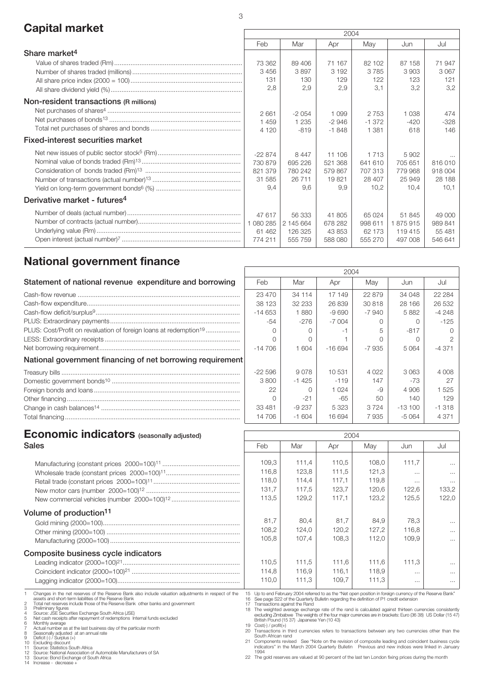# **Capital market** 2004

|                                          | LUU4      |           |         |          |         |          |
|------------------------------------------|-----------|-----------|---------|----------|---------|----------|
|                                          | Feb       | Mar       | Apr     | May      | Jun     | Jul      |
| Share market <sup>4</sup>                |           |           |         |          |         |          |
|                                          | 73 362    | 89 40 6   | 71 167  | 82 102   | 87 158  | 71947    |
|                                          | 3 4 5 6   | 3897      | 3 1 9 2 | 3785     | 3903    | 3067     |
|                                          | 131       | 130       | 129     | 122      | 123     | 121      |
|                                          | 2,8       | 2,9       | 2,9     | 3.1      | 3,2     | 3,2      |
| Non-resident transactions (R millions)   |           |           |         |          |         |          |
|                                          | 2661      | $-2054$   | 1 0 9 9 | 2 7 5 3  | 1 038   | 474      |
|                                          | 1 4 5 9   | 1 2 3 5   | $-2946$ | $-1.372$ | $-420$  | $-328$   |
|                                          | 4 1 2 0   | $-819$    | $-1848$ | 1 381    | 618     | 146      |
| <b>Fixed-interest securities market</b>  |           |           |         |          |         |          |
|                                          | $-22874$  | 8 4 4 7   | 11 106  | 1 7 1 3  | 5902    | $\cdots$ |
|                                          | 730 879   | 695 226   | 521 368 | 641 610  | 705 651 | 816010   |
|                                          | 821 379   | 780 242   | 579 867 | 707 313  | 779 968 | 918 004  |
|                                          | 31 585    | 26 711    | 19821   | 28 407   | 25 949  | 28 188   |
|                                          | 9.4       | 9.6       | 9.9     | 10.2     | 10.4    | 10,1     |
| Derivative market - futures <sup>4</sup> |           |           |         |          |         |          |
|                                          | 47 617    | 56 333    | 41805   | 65 0 24  | 51 845  | 49,000   |
|                                          | 1 080 285 | 2 145 664 | 678 282 | 998 611  | 1875915 | 989 841  |
|                                          | 61 462    | 126 325   | 43 853  | 62 173   | 119 415 | 55 481   |
|                                          | 774 211   | 555 759   | 588 080 | 555 270  | 497 008 | 546 641  |
|                                          |           |           |         |          |         |          |

## **National government finance**

| Statement of national revenue expenditure and borrowing                       | Feb        | Mar     | Apr      | May          | Jun      | Ju              |
|-------------------------------------------------------------------------------|------------|---------|----------|--------------|----------|-----------------|
|                                                                               | 23 470     | 34 114  | 17 149   | 22879        | 34 048   | 22 <sub>2</sub> |
|                                                                               | 38 123     | 32 233  | 26 839   | 30818        | 28 166   | 265             |
|                                                                               | $-14653$   | 1880    | $-9690$  | -7 940       | 5882     | $-42$           |
|                                                                               | -54        | -276    | $-7004$  |              |          | $-1$            |
| PLUS: Cost/Profit on revaluation of foreign loans at redemption <sup>19</sup> |            |         |          |              | $-817$   |                 |
|                                                                               |            |         |          |              |          |                 |
|                                                                               | $-14\,706$ | 1604    | $-16694$ | -7 935       | 5 0 6 4  | $-4.3$          |
| National government financing of net borrowing requirement                    |            |         |          |              |          |                 |
|                                                                               | -22 596    | 9078    | 10 531   | 4 0 2 2      | 3063     | 4 C             |
|                                                                               | 3800       | $-1425$ | $-119$   | 147          | -73      |                 |
|                                                                               | 22         |         | 1 0 2 4  | $-Q$         | 4 906    | 15              |
|                                                                               |            | $-21$   | -65      | $50^{\circ}$ | 140      |                 |
|                                                                               | 33 481     | $-9237$ | 5 3 2 3  | 3724         | $-13100$ | $-1.3$          |
|                                                                               | 14 706     | $-1604$ | 16 694   | 7935         | $-5064$  | 4 <sup>°</sup>  |

|          |           | 2004     |            |           |          |
|----------|-----------|----------|------------|-----------|----------|
| Feb      | Mar       | Apr      | May        | Jun       | Jul      |
| 23 470   | 34 114    | 17 149   | 22879      | 34 048    | 22 2 84  |
| 38 123   | 32 233    | 26839    | 30818      | 28 166    | 26 532   |
| -14 653  | 1880      | $-9690$  | $-7940$    | 5882      | $-4248$  |
| -54      | $-276$    | $-7004$  | $\bigcirc$ | $\bigcap$ | $-125$   |
| ∩        | $\bigcap$ | -1       | 5          | $-817$    | Ω        |
| Ω        | Ω         |          | 0          | Ω         | 2        |
| $-14706$ | 1 604     | $-16694$ | -7935      | 5 0 64    | $-4371$  |
|          |           |          |            |           |          |
| $-22596$ | 9078      | 10531    | 4 0 2 2    | 3063      | 4 0 0 8  |
| 3800     | $-1425$   | $-119$   | 147        | -73       | 27       |
| 22       | Ω         | 1 0 2 4  | -9         | 4 9 0 6   | 1525     |
| Ω        | -21       | -65      | 50         | 140       | 129      |
| 33 481   | -9 237    | 5 3 2 3  | 3724       | $-13100$  | $-1.318$ |
| 14 706   | $-1604$   | 16 694   | 7935       | $-5064$   | 4 3 7 1  |

# **Economic indicators** (seasonally adjusted) **12004**

| <b>Sales</b>                                                                                                                                                                                                                                                                                                                                                                                                                                                                                                                                                                                                                                                                                                                                                                     | Feb                                                                                        | Mar                                                                                                                                                                                                                                                                                                                                                                                                                                                                                                                                                                                                                                                                                                                                                                                                                                                                                                 | Apr                                       | Mav                                       | Jun                                             | Jul                                                |
|----------------------------------------------------------------------------------------------------------------------------------------------------------------------------------------------------------------------------------------------------------------------------------------------------------------------------------------------------------------------------------------------------------------------------------------------------------------------------------------------------------------------------------------------------------------------------------------------------------------------------------------------------------------------------------------------------------------------------------------------------------------------------------|--------------------------------------------------------------------------------------------|-----------------------------------------------------------------------------------------------------------------------------------------------------------------------------------------------------------------------------------------------------------------------------------------------------------------------------------------------------------------------------------------------------------------------------------------------------------------------------------------------------------------------------------------------------------------------------------------------------------------------------------------------------------------------------------------------------------------------------------------------------------------------------------------------------------------------------------------------------------------------------------------------------|-------------------------------------------|-------------------------------------------|-------------------------------------------------|----------------------------------------------------|
|                                                                                                                                                                                                                                                                                                                                                                                                                                                                                                                                                                                                                                                                                                                                                                                  | 109,3<br>116,8<br>118,0<br>131,7<br>113,5                                                  | 111,4<br>123,8<br>114,4<br>117.5<br>129,2                                                                                                                                                                                                                                                                                                                                                                                                                                                                                                                                                                                                                                                                                                                                                                                                                                                           | 110,5<br>111,5<br>117.1<br>123.7<br>117.1 | 108.0<br>121,3<br>119.8<br>120.6<br>123.2 | 111.7<br>$\cdots$<br>$\cdots$<br>122.6<br>125.5 | $\cdots$<br>$\cdots$<br>$\cdots$<br>133.2<br>122.0 |
| Volume of production <sup>11</sup>                                                                                                                                                                                                                                                                                                                                                                                                                                                                                                                                                                                                                                                                                                                                               | 81.7<br>108,2<br>105,8                                                                     | 80.4<br>124,0<br>107.4                                                                                                                                                                                                                                                                                                                                                                                                                                                                                                                                                                                                                                                                                                                                                                                                                                                                              | 81.7<br>120,2<br>108.3                    | 84.9<br>127,2<br>112.0                    | 78,3<br>116,8<br>109.9                          | $\cdots$<br>$\cdots$<br>$\cdots$                   |
| Composite business cycle indicators                                                                                                                                                                                                                                                                                                                                                                                                                                                                                                                                                                                                                                                                                                                                              | 110,5<br>114,8<br>110.0                                                                    | 111,5<br>116,9<br>111.3                                                                                                                                                                                                                                                                                                                                                                                                                                                                                                                                                                                                                                                                                                                                                                                                                                                                             | 111,6<br>116,1<br>109.7                   | 111,6<br>118,9<br>111.3                   | 111,3<br>$\cdots$<br>$\cdots$                   | $\cdots$<br>$\cdots$<br>$\cdots$                   |
| Changes in the net reserves of the Reserve Bank also include valuation adjustments in respect of the<br>assets and short-term liabilities of the Reserve Bank<br>Total net reserves include those of the Reserve Bank other banks and government<br>Preliminary figures<br>Source: JSE Securities Exchange South Africa (JSE)<br>Net cash receipts after repayment of redemptions Internal funds excluded<br>Monthly average<br>Actual number as at the last business day of the particular month<br>Seasonally adjusted at an annual rate<br>Deficit (-) / Surplus (+)<br>10 Excluding discount<br>Source: Statistics South Africa<br>12 Source: National Association of Automobile Manufacturers of SA<br>13 Source: Bond Exchange of South Africa<br>14 Increase - decrease + | 17 Transactions against the Rand<br>$19$ Cost(-) / profit(+)<br>South African rand<br>1994 | 15 Up to end February 2004 referred to as the "Net open position in foreign currency of the Reserve Bank"<br>See page S22 of the Quarterly Bulletin regarding the definition of P1 credit extension<br>18 The weighted average exchange rate of the rand is calculated against thirteen currencies consistently<br>excluding Zimbabwe The weights of the four major currencies are in brackets: Euro (36 38) US Dollar (15 47<br>British Pound (15 37) Japanese Yen (10 43)<br>20 Transactions in third currencies refers to transactions between any two currencies other than the<br>21 Components revised See "Note on the revision of composite leading and coincident business cycle<br>indicators" in the March 2004 Quarterly Bulletin Previous and new indices were linked in Januar<br>22 The gold reserves are valued at 90 percent of the last ten London fixing prices during the month |                                           |                                           |                                                 |                                                    |